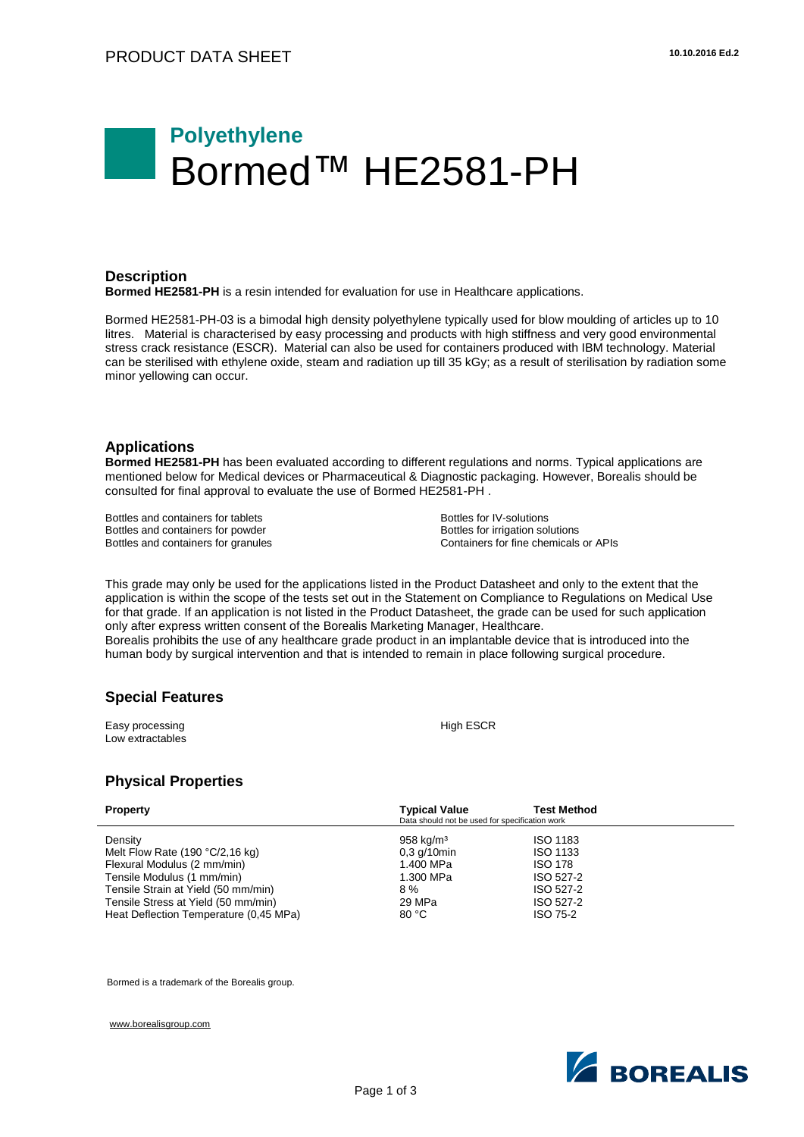# **Polyethylene** ■Bormed™ HE2581-PH

#### **Description**

**Bormed HE2581-PH** is a resin intended for evaluation for use in Healthcare applications.

Bormed HE2581-PH-03 is a bimodal high density polyethylene typically used for blow moulding of articles up to 10 litres. Material is characterised by easy processing and products with high stiffness and very good environmental stress crack resistance (ESCR). Material can also be used for containers produced with IBM technology. Material can be sterilised with ethylene oxide, steam and radiation up till 35 kGy; as a result of sterilisation by radiation some minor yellowing can occur.

#### **Applications**

**Bormed HE2581-PH** has been evaluated according to different regulations and norms. Typical applications are mentioned below for Medical devices or Pharmaceutical & Diagnostic packaging. However, Borealis should be consulted for final approval to evaluate the use of Bormed HE2581-PH .

Bottles and containers for tablets Bottles and containers for powder Bottles and containers for granules Bottles for IV-solutions Bottles for irrigation solutions Containers for fine chemicals or APIs

This grade may only be used for the applications listed in the Product Datasheet and only to the extent that the application is within the scope of the tests set out in the Statement on Compliance to Regulations on Medical Use for that grade. If an application is not listed in the Product Datasheet, the grade can be used for such application only after express written consent of the Borealis Marketing Manager, Healthcare. Borealis prohibits the use of any healthcare grade product in an implantable device that is introduced into the human body by surgical intervention and that is intended to remain in place following surgical procedure.

### **Special Features**

Easy processing Low extractables High ESCR

## **Physical Properties**

| <b>Property</b>                        | <b>Typical Value</b><br>Data should not be used for specification work | <b>Test Method</b> |
|----------------------------------------|------------------------------------------------------------------------|--------------------|
| Density                                | $958$ kg/m <sup>3</sup>                                                | <b>ISO 1183</b>    |
| Melt Flow Rate $(190 °C/2, 16 kg)$     | $0.3$ g/10min                                                          | <b>ISO 1133</b>    |
| Flexural Modulus (2 mm/min)            | 1.400 MPa                                                              | <b>ISO 178</b>     |
| Tensile Modulus (1 mm/min)             | 1.300 MPa                                                              | ISO 527-2          |
| Tensile Strain at Yield (50 mm/min)    | $8\%$                                                                  | ISO 527-2          |
| Tensile Stress at Yield (50 mm/min)    | 29 MPa                                                                 | ISO 527-2          |
| Heat Deflection Temperature (0.45 MPa) | 80 °C                                                                  | <b>ISO 75-2</b>    |

Bormed is a trademark of the Borealis group.

[www.borealisgroup.com](http://www.borealisgroup.com/)

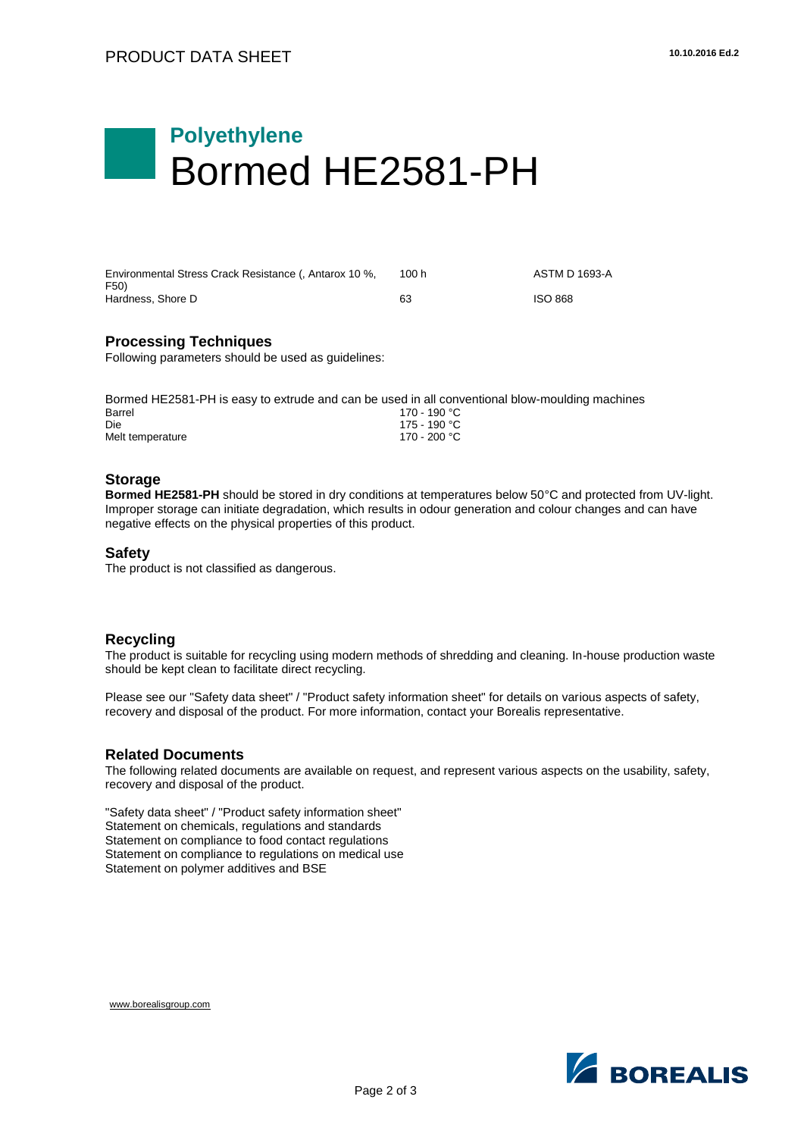# **Polyethylene** Bormed HE2581-PH

| Environmental Stress Crack Resistance (, Antarox 10 %, | 100 h | ASTM D 1693-A  |
|--------------------------------------------------------|-------|----------------|
| F50)<br>Hardness, Shore D                              | 63    | <b>ISO 868</b> |

### **Processing Techniques**

Following parameters should be used as guidelines:

| Bormed HE2581-PH is easy to extrude and can be used in all conventional blow-moulding machines |               |
|------------------------------------------------------------------------------------------------|---------------|
| Barrel                                                                                         | 170 - 190 °C. |
| Die                                                                                            | 175 - 190 °C. |
| Melt temperature                                                                               | 170 - 200 °C. |

### **Storage**

**Bormed HE2581-PH** should be stored in dry conditions at temperatures below 50°C and protected from UV-light. Improper storage can initiate degradation, which results in odour generation and colour changes and can have negative effects on the physical properties of this product.

#### **Safety**

The product is not classified as dangerous.

### **Recycling**

The product is suitable for recycling using modern methods of shredding and cleaning. In-house production waste should be kept clean to facilitate direct recycling.

Please see our "Safety data sheet" / "Product safety information sheet" for details on various aspects of safety, recovery and disposal of the product. For more information, contact your Borealis representative.

### **Related Documents**

The following related documents are available on request, and represent various aspects on the usability, safety, recovery and disposal of the product.

"Safety data sheet" / "Product safety information sheet" Statement on chemicals, regulations and standards Statement on compliance to food contact regulations Statement on compliance to regulations on medical use Statement on polymer additives and BSE



[www.borealisgroup.com](http://www.borealisgroup.com/)